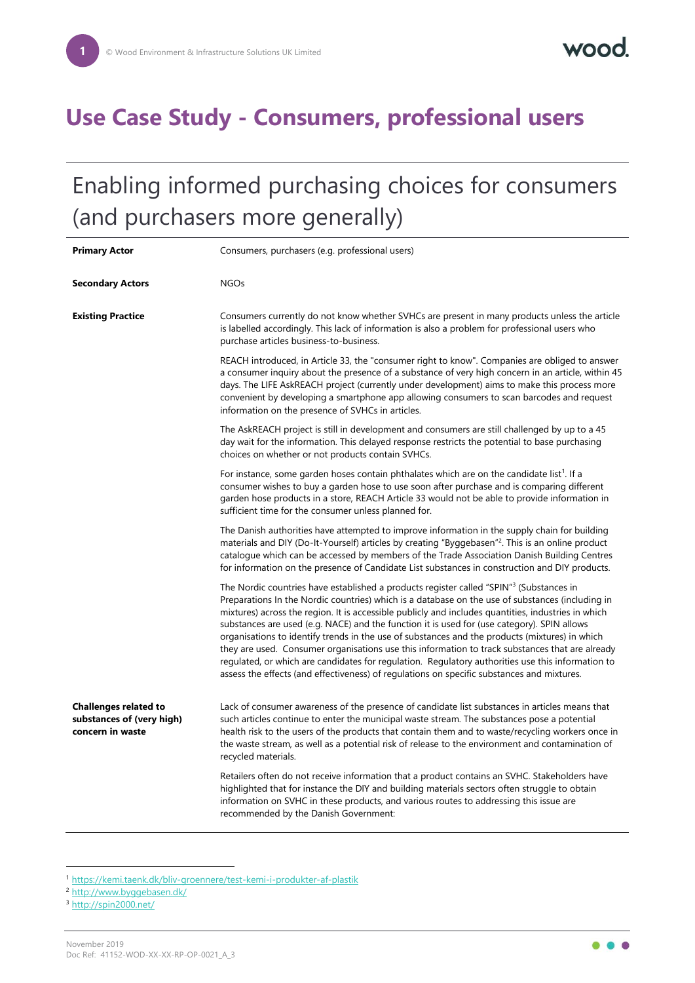## **Use Case Study - Consumers, professional users**

# Enabling informed purchasing choices for consumers (and purchasers more generally)

| <b>Primary Actor</b>                                                          | Consumers, purchasers (e.g. professional users)                                                                                                                                                                                                                                                                                                                                                                                                                                                                                                                                                                                                                                                                                                                                                                       |
|-------------------------------------------------------------------------------|-----------------------------------------------------------------------------------------------------------------------------------------------------------------------------------------------------------------------------------------------------------------------------------------------------------------------------------------------------------------------------------------------------------------------------------------------------------------------------------------------------------------------------------------------------------------------------------------------------------------------------------------------------------------------------------------------------------------------------------------------------------------------------------------------------------------------|
| <b>Secondary Actors</b>                                                       | <b>NGOs</b>                                                                                                                                                                                                                                                                                                                                                                                                                                                                                                                                                                                                                                                                                                                                                                                                           |
| <b>Existing Practice</b>                                                      | Consumers currently do not know whether SVHCs are present in many products unless the article<br>is labelled accordingly. This lack of information is also a problem for professional users who<br>purchase articles business-to-business.                                                                                                                                                                                                                                                                                                                                                                                                                                                                                                                                                                            |
|                                                                               | REACH introduced, in Article 33, the "consumer right to know". Companies are obliged to answer<br>a consumer inquiry about the presence of a substance of very high concern in an article, within 45<br>days. The LIFE AskREACH project (currently under development) aims to make this process more<br>convenient by developing a smartphone app allowing consumers to scan barcodes and request<br>information on the presence of SVHCs in articles.                                                                                                                                                                                                                                                                                                                                                                |
|                                                                               | The AskREACH project is still in development and consumers are still challenged by up to a 45<br>day wait for the information. This delayed response restricts the potential to base purchasing<br>choices on whether or not products contain SVHCs.                                                                                                                                                                                                                                                                                                                                                                                                                                                                                                                                                                  |
|                                                                               | For instance, some garden hoses contain phthalates which are on the candidate list <sup>1</sup> . If a<br>consumer wishes to buy a garden hose to use soon after purchase and is comparing different<br>garden hose products in a store, REACH Article 33 would not be able to provide information in<br>sufficient time for the consumer unless planned for.                                                                                                                                                                                                                                                                                                                                                                                                                                                         |
|                                                                               | The Danish authorities have attempted to improve information in the supply chain for building<br>materials and DIY (Do-It-Yourself) articles by creating "Byggebasen" <sup>2</sup> . This is an online product<br>catalogue which can be accessed by members of the Trade Association Danish Building Centres<br>for information on the presence of Candidate List substances in construction and DIY products.                                                                                                                                                                                                                                                                                                                                                                                                       |
|                                                                               | The Nordic countries have established a products register called "SPIN" <sup>3</sup> (Substances in<br>Preparations In the Nordic countries) which is a database on the use of substances (including in<br>mixtures) across the region. It is accessible publicly and includes quantities, industries in which<br>substances are used (e.g. NACE) and the function it is used for (use category). SPIN allows<br>organisations to identify trends in the use of substances and the products (mixtures) in which<br>they are used. Consumer organisations use this information to track substances that are already<br>regulated, or which are candidates for regulation. Regulatory authorities use this information to<br>assess the effects (and effectiveness) of regulations on specific substances and mixtures. |
| <b>Challenges related to</b><br>substances of (very high)<br>concern in waste | Lack of consumer awareness of the presence of candidate list substances in articles means that<br>such articles continue to enter the municipal waste stream. The substances pose a potential<br>health risk to the users of the products that contain them and to waste/recycling workers once in<br>the waste stream, as well as a potential risk of release to the environment and contamination of<br>recycled materials.                                                                                                                                                                                                                                                                                                                                                                                         |
|                                                                               | Retailers often do not receive information that a product contains an SVHC. Stakeholders have<br>highlighted that for instance the DIY and building materials sectors often struggle to obtain<br>information on SVHC in these products, and various routes to addressing this issue are<br>recommended by the Danish Government:                                                                                                                                                                                                                                                                                                                                                                                                                                                                                     |

<sup>1</sup> <https://kemi.taenk.dk/bliv-groennere/test-kemi-i-produkter-af-plastik>

<sup>2</sup> <http://www.byggebasen.dk/>

<sup>3</sup> <http://spin2000.net/>

1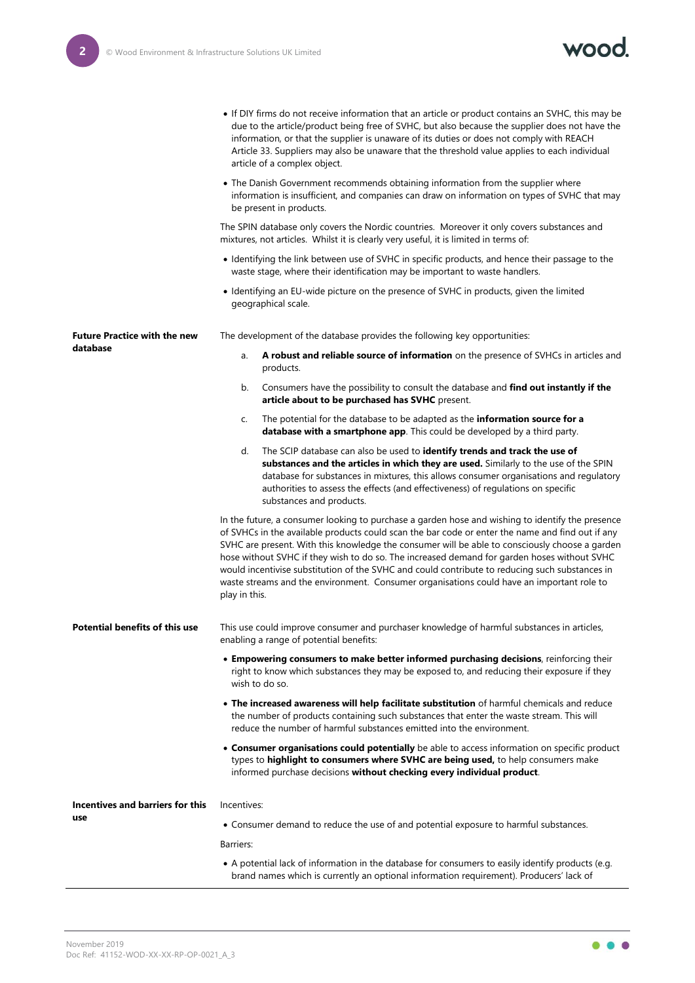

|                                                 | • If DIY firms do not receive information that an article or product contains an SVHC, this may be<br>due to the article/product being free of SVHC, but also because the supplier does not have the<br>information, or that the supplier is unaware of its duties or does not comply with REACH<br>Article 33. Suppliers may also be unaware that the threshold value applies to each individual<br>article of a complex object.                                                                                                                                                                                     |
|-------------------------------------------------|-----------------------------------------------------------------------------------------------------------------------------------------------------------------------------------------------------------------------------------------------------------------------------------------------------------------------------------------------------------------------------------------------------------------------------------------------------------------------------------------------------------------------------------------------------------------------------------------------------------------------|
|                                                 | • The Danish Government recommends obtaining information from the supplier where<br>information is insufficient, and companies can draw on information on types of SVHC that may<br>be present in products.                                                                                                                                                                                                                                                                                                                                                                                                           |
|                                                 | The SPIN database only covers the Nordic countries. Moreover it only covers substances and<br>mixtures, not articles. Whilst it is clearly very useful, it is limited in terms of:                                                                                                                                                                                                                                                                                                                                                                                                                                    |
|                                                 | • Identifying the link between use of SVHC in specific products, and hence their passage to the<br>waste stage, where their identification may be important to waste handlers.                                                                                                                                                                                                                                                                                                                                                                                                                                        |
|                                                 | • Identifying an EU-wide picture on the presence of SVHC in products, given the limited<br>geographical scale.                                                                                                                                                                                                                                                                                                                                                                                                                                                                                                        |
| <b>Future Practice with the new</b><br>database | The development of the database provides the following key opportunities:                                                                                                                                                                                                                                                                                                                                                                                                                                                                                                                                             |
|                                                 | A robust and reliable source of information on the presence of SVHCs in articles and<br>a.<br>products.                                                                                                                                                                                                                                                                                                                                                                                                                                                                                                               |
|                                                 | Consumers have the possibility to consult the database and find out instantly if the<br>b.<br>article about to be purchased has SVHC present.                                                                                                                                                                                                                                                                                                                                                                                                                                                                         |
|                                                 | The potential for the database to be adapted as the information source for a<br>C.<br>database with a smartphone app. This could be developed by a third party.                                                                                                                                                                                                                                                                                                                                                                                                                                                       |
|                                                 | The SCIP database can also be used to identify trends and track the use of<br>d.<br>substances and the articles in which they are used. Similarly to the use of the SPIN<br>database for substances in mixtures, this allows consumer organisations and regulatory<br>authorities to assess the effects (and effectiveness) of regulations on specific<br>substances and products.                                                                                                                                                                                                                                    |
|                                                 | In the future, a consumer looking to purchase a garden hose and wishing to identify the presence<br>of SVHCs in the available products could scan the bar code or enter the name and find out if any<br>SVHC are present. With this knowledge the consumer will be able to consciously choose a garden<br>hose without SVHC if they wish to do so. The increased demand for garden hoses without SVHC<br>would incentivise substitution of the SVHC and could contribute to reducing such substances in<br>waste streams and the environment. Consumer organisations could have an important role to<br>play in this. |
| <b>Potential benefits of this use</b>           | This use could improve consumer and purchaser knowledge of harmful substances in articles,<br>enabling a range of potential benefits:                                                                                                                                                                                                                                                                                                                                                                                                                                                                                 |
|                                                 | . Empowering consumers to make better informed purchasing decisions, reinforcing their<br>right to know which substances they may be exposed to, and reducing their exposure if they<br>wish to do so.                                                                                                                                                                                                                                                                                                                                                                                                                |
|                                                 | . The increased awareness will help facilitate substitution of harmful chemicals and reduce<br>the number of products containing such substances that enter the waste stream. This will<br>reduce the number of harmful substances emitted into the environment.                                                                                                                                                                                                                                                                                                                                                      |
|                                                 | • Consumer organisations could potentially be able to access information on specific product<br>types to highlight to consumers where SVHC are being used, to help consumers make<br>informed purchase decisions without checking every individual product.                                                                                                                                                                                                                                                                                                                                                           |
| Incentives and barriers for this                | Incentives:                                                                                                                                                                                                                                                                                                                                                                                                                                                                                                                                                                                                           |
| use                                             | • Consumer demand to reduce the use of and potential exposure to harmful substances.                                                                                                                                                                                                                                                                                                                                                                                                                                                                                                                                  |
|                                                 | Barriers:                                                                                                                                                                                                                                                                                                                                                                                                                                                                                                                                                                                                             |
|                                                 | • A potential lack of information in the database for consumers to easily identify products (e.g.<br>brand names which is currently an optional information requirement). Producers' lack of                                                                                                                                                                                                                                                                                                                                                                                                                          |